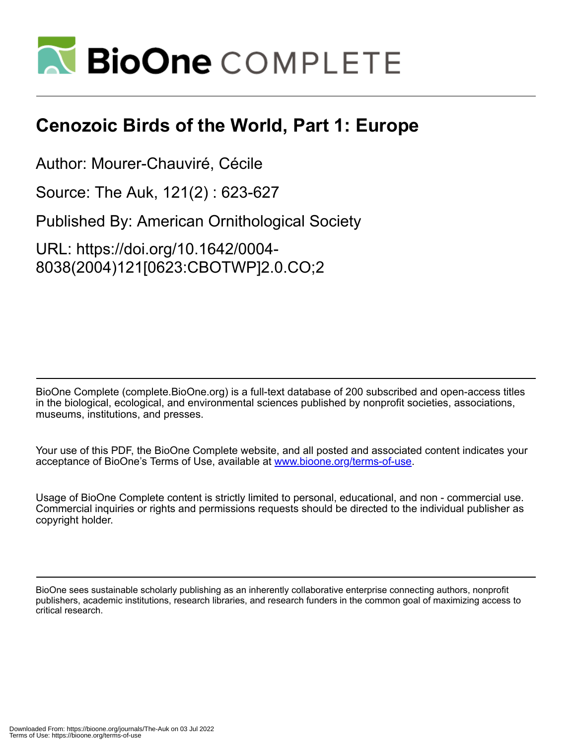

# **Cenozoic Birds of the World, Part 1: Europe**

Author: Mourer-Chauviré, Cécile

Source: The Auk, 121(2) : 623-627

Published By: American Ornithological Society

URL: https://doi.org/10.1642/0004- 8038(2004)121[0623:CBOTWP]2.0.CO;2

BioOne Complete (complete.BioOne.org) is a full-text database of 200 subscribed and open-access titles in the biological, ecological, and environmental sciences published by nonprofit societies, associations, museums, institutions, and presses.

Your use of this PDF, the BioOne Complete website, and all posted and associated content indicates your acceptance of BioOne's Terms of Use, available at www.bioone.org/terms-of-use.

Usage of BioOne Complete content is strictly limited to personal, educational, and non - commercial use. Commercial inquiries or rights and permissions requests should be directed to the individual publisher as copyright holder.

BioOne sees sustainable scholarly publishing as an inherently collaborative enterprise connecting authors, nonprofit publishers, academic institutions, research libraries, and research funders in the common goal of maximizing access to critical research.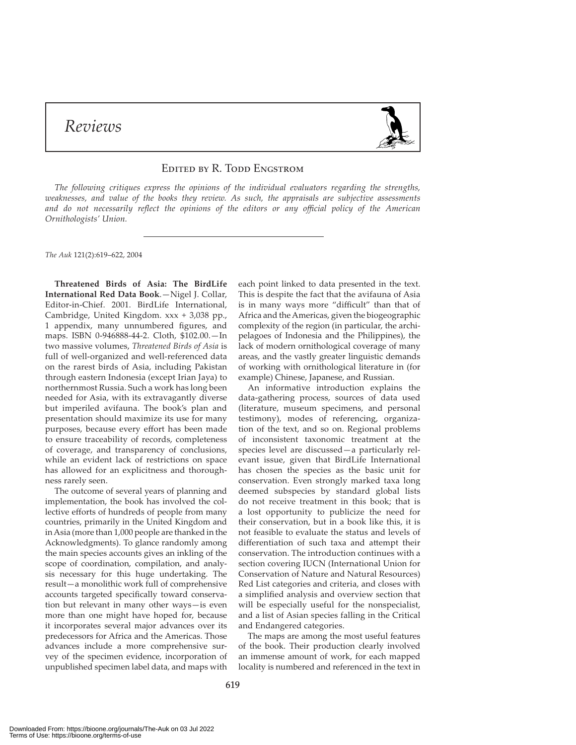# *Reviews*



# Edited by R. Todd Engstrom

*The following critiques express the opinions of the individual evaluators regarding the strengths, weaknesses, and value of the books they review. As such, the appraisals are subjective assessments*  and do not necessarily reflect the opinions of the editors or any official policy of the American *Ornithologists' Union.*

*The Auk* 121(2):619–622, 2004

**Threatened Birds of Asia: The BirdLife International Red Data Book**.—Nigel J. Collar, Editor-in-Chief. 2001. BirdLife International, Cambridge, United Kingdom. xxx + 3,038 pp., 1 appendix, many unnumbered figures, and maps. ISBN 0-946888-44-2. Cloth, \$102.00.—In two massive volumes, *Threatened Birds of Asia* is full of well-organized and well-referenced data on the rarest birds of Asia, including Pakistan through eastern Indonesia (except Irian Jaya) to northernmost Russia. Such a work has long been needed for Asia, with its extravagantly diverse but imperiled avifauna. The book's plan and presentation should maximize its use for many purposes, because every effort has been made to ensure traceability of records, completeness of coverage, and transparency of conclusions, while an evident lack of restrictions on space has allowed for an explicitness and thoroughness rarely seen.

The outcome of several years of planning and implementation, the book has involved the collective efforts of hundreds of people from many countries, primarily in the United Kingdom and in Asia (more than 1,000 people are thanked in the Acknowledgments). To glance randomly among the main species accounts gives an inkling of the scope of coordination, compilation, and analysis necessary for this huge undertaking. The result—a monolithic work full of comprehensive accounts targeted specifically toward conservation but relevant in many other ways—is even more than one might have hoped for, because it incorporates several major advances over its predecessors for Africa and the Americas. Those advances include a more comprehensive survey of the specimen evidence, incorporation of unpublished specimen label data, and maps with each point linked to data presented in the text. This is despite the fact that the avifauna of Asia is in many ways more "difficult" than that of Africa and the Americas, given the biogeographic complexity of the region (in particular, the archipelagoes of Indonesia and the Philippines), the lack of modern ornithological coverage of many areas, and the vastly greater linguistic demands of working with ornithological literature in (for example) Chinese, Japanese, and Russian.

An informative introduction explains the data-gathering process, sources of data used (literature, museum specimens, and personal testimony), modes of referencing, organization of the text, and so on. Regional problems of inconsistent taxonomic treatment at the species level are discussed—a particularly relevant issue, given that BirdLife International has chosen the species as the basic unit for conservation. Even strongly marked taxa long deemed subspecies by standard global lists do not receive treatment in this book; that is a lost opportunity to publicize the need for their conservation, but in a book like this, it is not feasible to evaluate the status and levels of differentiation of such taxa and attempt their conservation. The introduction continues with a section covering IUCN (International Union for Conservation of Nature and Natural Resources) Red List categories and criteria, and closes with a simplified analysis and overview section that will be especially useful for the nonspecialist, and a list of Asian species falling in the Critical and Endangered categories.

The maps are among the most useful features of the book. Their production clearly involved an immense amount of work, for each mapped locality is numbered and referenced in the text in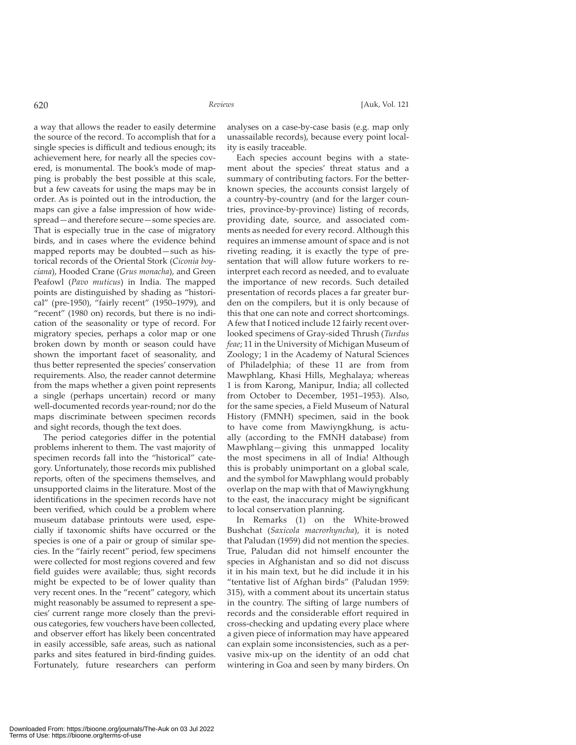a way that allows the reader to easily determine the source of the record. To accomplish that for a single species is difficult and tedious enough; its achievement here, for nearly all the species covered, is monumental. The book's mode of mapping is probably the best possible at this scale, but a few caveats for using the maps may be in order. As is pointed out in the introduction, the maps can give a false impression of how widespread—and therefore secure—some species are. That is especially true in the case of migratory birds, and in cases where the evidence behind mapped reports may be doubted—such as historical records of the Oriental Stork (*Ciconia boyciana*), Hooded Crane (*Grus monacha*), and Green Peafowl (*Pavo muticus*) in India. The mapped points are distinguished by shading as "historical" (pre-1950), "fairly recent" (1950–1979), and "recent" (1980 on) records, but there is no indication of the seasonality or type of record. For migratory species, perhaps a color map or one broken down by month or season could have shown the important facet of seasonality, and thus better represented the species' conservation requirements. Also, the reader cannot determine from the maps whether a given point represents a single (perhaps uncertain) record or many well-documented records year-round; nor do the maps discriminate between specimen records and sight records, though the text does.

The period categories differ in the potential problems inherent to them. The vast majority of specimen records fall into the "historical" category. Unfortunately, those records mix published reports, often of the specimens themselves, and unsupported claims in the literature. Most of the identifications in the specimen records have not been verified, which could be a problem where museum database printouts were used, especially if taxonomic shifts have occurred or the species is one of a pair or group of similar species. In the "fairly recent" period, few specimens were collected for most regions covered and few field guides were available; thus, sight records might be expected to be of lower quality than very recent ones. In the "recent" category, which might reasonably be assumed to represent a species' current range more closely than the previous categories, few vouchers have been collected, and observer effort has likely been concentrated in easily accessible, safe areas, such as national parks and sites featured in bird-finding guides. Fortunately, future researchers can perform

analyses on a case-by-case basis (e.g. map only unassailable records), because every point locality is easily traceable.

Each species account begins with a statement about the species' threat status and a summary of contributing factors. For the betterknown species, the accounts consist largely of a country-by-country (and for the larger countries, province-by-province) listing of records, providing date, source, and associated comments as needed for every record. Although this requires an immense amount of space and is not riveting reading, it is exactly the type of presentation that will allow future workers to reinterpret each record as needed, and to evaluate the importance of new records. Such detailed presentation of records places a far greater burden on the compilers, but it is only because of this that one can note and correct shortcomings. A few that I noticed include 12 fairly recent overlooked specimens of Gray-sided Thrush (*Turdus feae*; 11 in the University of Michigan Museum of Zoology; 1 in the Academy of Natural Sciences of Philadelphia; of these 11 are from from Mawphlang, Khasi Hills, Meghalaya; whereas 1 is from Karong, Manipur, India; all collected from October to December, 1951–1953). Also, for the same species, a Field Museum of Natural History (FMNH) specimen, said in the book to have come from Mawiyngkhung, is actually (according to the FMNH database) from Mawphlang—giving this unmapped locality the most specimens in all of India! Although this is probably unimportant on a global scale, and the symbol for Mawphlang would probably overlap on the map with that of Mawiyngkhung to the east, the inaccuracy might be significant to local conservation planning.

In Remarks (1) on the White-browed Bushchat (*Saxicola macrorhyncha*), it is noted that Paludan (1959) did not mention the species. True, Paludan did not himself encounter the species in Afghanistan and so did not discuss it in his main text, but he did include it in his "tentative list of Afghan birds" (Paludan 1959: 315), with a comment about its uncertain status in the country. The sifting of large numbers of records and the considerable effort required in cross-checking and updating every place where a given piece of information may have appeared can explain some inconsistencies, such as a pervasive mix-up on the identity of an odd chat wintering in Goa and seen by many birders. On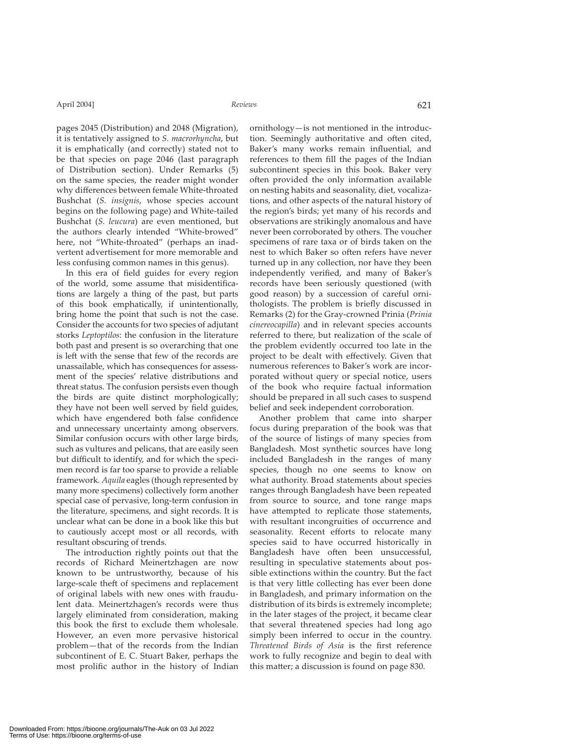pages 2045 (Distribution) and 2048 (Migration), it is tentatively assigned to *S. macrorhyncha*, but it is emphatically (and correctly) stated not to be that species on page 2046 (last paragraph of Distribution section). Under Remarks (5) on the same species, the reader might wonder why differences between female White-throated Bushchat (*S. insignis*, whose species account begins on the following page) and White-tailed Bushchat (*S. leucura*) are even mentioned, but the authors clearly intended "White-browed" here, not "White-throated" (perhaps an inadvertent advertisement for more memorable and less confusing common names in this genus).

In this era of field guides for every region of the world, some assume that misidentifications are largely a thing of the past, but parts of this book emphatically, if unintentionally, bring home the point that such is not the case. Consider the accounts for two species of adjutant storks *Leptoptilos*: the confusion in the literature both past and present is so overarching that one is left with the sense that few of the records are unassailable, which has consequences for assessment of the species' relative distributions and threat status. The confusion persists even though the birds are quite distinct morphologically; they have not been well served by field guides, which have engendered both false confidence and unnecessary uncertainty among observers. Similar confusion occurs with other large birds, such as vultures and pelicans, that are easily seen but difficult to identify, and for which the specimen record is far too sparse to provide a reliable framework. *Aquila* eagles (though represented by many more specimens) collectively form another special case of pervasive, long-term confusion in the literature, specimens, and sight records. It is unclear what can be done in a book like this but to cautiously accept most or all records, with resultant obscuring of trends.

The introduction rightly points out that the records of Richard Meinertzhagen are now known to be untrustworthy, because of his large-scale theft of specimens and replacement of original labels with new ones with fraudulent data. Meinertzhagen's records were thus largely eliminated from consideration, making this book the first to exclude them wholesale. However, an even more pervasive historical problem—that of the records from the Indian subcontinent of E. C. Stuart Baker, perhaps the most prolific author in the history of Indian

ornithology—is not mentioned in the introduction. Seemingly authoritative and often cited, Baker's many works remain influential, and references to them fill the pages of the Indian subcontinent species in this book. Baker very often provided the only information available on nesting habits and seasonality, diet, vocalizations, and other aspects of the natural history of the region's birds; yet many of his records and observations are strikingly anomalous and have never been corroborated by others. The voucher specimens of rare taxa or of birds taken on the nest to which Baker so often refers have never turned up in any collection, nor have they been independently verified, and many of Baker's records have been seriously questioned (with good reason) by a succession of careful ornithologists. The problem is briefly discussed in Remarks (2) for the Gray-crowned Prinia (*Prinia cinereocapilla*) and in relevant species accounts referred to there, but realization of the scale of the problem evidently occurred too late in the project to be dealt with effectively. Given that numerous references to Baker's work are incorporated without query or special notice, users of the book who require factual information should be prepared in all such cases to suspend belief and seek independent corroboration.

Another problem that came into sharper focus during preparation of the book was that of the source of listings of many species from Bangladesh. Most synthetic sources have long included Bangladesh in the ranges of many species, though no one seems to know on what authority. Broad statements about species ranges through Bangladesh have been repeated from source to source, and tone range maps have attempted to replicate those statements, with resultant incongruities of occurrence and seasonality. Recent efforts to relocate many species said to have occurred historically in Bangladesh have often been unsuccessful, resulting in speculative statements about possible extinctions within the country. But the fact is that very little collecting has ever been done in Bangladesh, and primary information on the distribution of its birds is extremely incomplete; in the later stages of the project, it became clear that several threatened species had long ago simply been inferred to occur in the country. *Threatened Birds of Asia* is the first reference work to fully recognize and begin to deal with this matter; a discussion is found on page 830.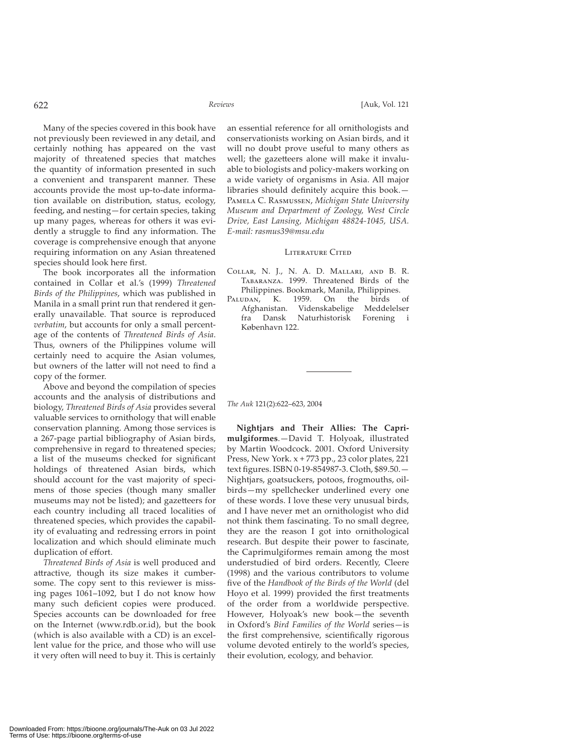Many of the species covered in this book have not previously been reviewed in any detail, and certainly nothing has appeared on the vast majority of threatened species that matches the quantity of information presented in such a convenient and transparent manner. These accounts provide the most up-to-date information available on distribution, status, ecology, feeding, and nesting—for certain species, taking up many pages, whereas for others it was evidently a struggle to find any information. The coverage is comprehensive enough that anyone requiring information on any Asian threatened species should look here first.

The book incorporates all the information contained in Collar et al.'s (1999) *Threatened Birds of the Philippines*, which was published in Manila in a small print run that rendered it generally unavailable. That source is reproduced *verbatim*, but accounts for only a small percentage of the contents of *Threatened Birds of Asia*. Thus, owners of the Philippines volume will certainly need to acquire the Asian volumes, but owners of the latter will not need to find a copy of the former.

Above and beyond the compilation of species accounts and the analysis of distributions and biology, *Threatened Birds of Asia* provides several valuable services to ornithology that will enable conservation planning. Among those services is a 267-page partial bibliography of Asian birds, comprehensive in regard to threatened species; a list of the museums checked for significant holdings of threatened Asian birds, which should account for the vast majority of specimens of those species (though many smaller museums may not be listed); and gazetteers for each country including all traced localities of threatened species, which provides the capability of evaluating and redressing errors in point localization and which should eliminate much duplication of effort.

*Threatened Birds of Asia* is well produced and attractive, though its size makes it cumbersome. The copy sent to this reviewer is missing pages 1061–1092, but I do not know how many such deficient copies were produced. Species accounts can be downloaded for free on the Internet (www.rdb.or.id), but the book (which is also available with a CD) is an excellent value for the price, and those who will use it very often will need to buy it. This is certainly

an essential reference for all ornithologists and conservationists working on Asian birds, and it will no doubt prove useful to many others as well; the gazetteers alone will make it invaluable to biologists and policy-makers working on a wide variety of organisms in Asia. All major libraries should definitely acquire this book.-Pamela C. Rasmussen, Michigan State University *Museum and Department of Zoology, West Circle Drive, East Lansing, Michigan 48824-1045, USA. E-mail: rasmus39@msu.edu*

#### Literature Cited

- Collar, N. J., N. A. D. Mallari, and B. R. TABARANZA. 1999. Threatened Birds of the Philippines. Bookmark, Manila, Philippines.
- PALUDAN, K. 1959. On the birds of Afghanistan. Videnskabelige Meddelelser fra Dansk Naturhistorisk Forening i København 122.

*The Auk* 121(2):622–623, 2004

**Nightjars and Their Allies: The Caprimulgiformes**.—David T. Holyoak, illustrated by Martin Woodcock. 2001. Oxford University Press, New York. x + 773 pp., 23 color plates, 221 text figures. ISBN 0-19-854987-3. Cloth, \$89.50. -Nightjars, goatsuckers, potoos, frogmouths, oilbirds—my spellchecker underlined every one of these words. I love these very unusual birds, and I have never met an ornithologist who did not think them fascinating. To no small degree, they are the reason I got into ornithological research. But despite their power to fascinate, the Caprimulgiformes remain among the most understudied of bird orders. Recently, Cleere (1998) and the various contributors to volume five of the *Handbook of the Birds of the World* (del Hoyo et al. 1999) provided the first treatments of the order from a worldwide perspective. However, Holyoak's new book—the seventh in Oxford's *Bird Families of the World* series—is the first comprehensive, scientifically rigorous volume devoted entirely to the world's species, their evolution, ecology, and behavior.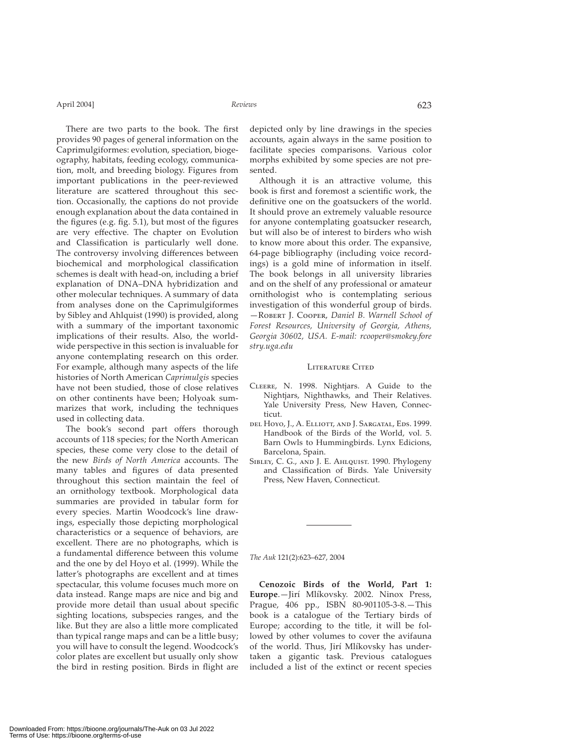There are two parts to the book. The first provides 90 pages of general information on the Caprimulgiformes: evolution, speciation, biogeography, habitats, feeding ecology, communication, molt, and breeding biology. Figures from important publications in the peer-reviewed literature are scattered throughout this section. Occasionally, the captions do not provide enough explanation about the data contained in the figures (e.g. fig.  $5.1$ ), but most of the figures are very effective. The chapter on Evolution and Classification is particularly well done. The controversy involving differences between biochemical and morphological classification schemes is dealt with head-on, including a brief explanation of DNA–DNA hybridization and other molecular techniques. A summary of data from analyses done on the Caprimulgiformes by Sibley and Ahlquist (1990) is provided, along with a summary of the important taxonomic implications of their results. Also, the worldwide perspective in this section is invaluable for anyone contemplating research on this order. For example, although many aspects of the life histories of North American *Caprimulgis* species have not been studied, those of close relatives on other continents have been; Holyoak summarizes that work, including the techniques used in collecting data.

The book's second part offers thorough accounts of 118 species; for the North American species, these come very close to the detail of the new *Birds of North America* accounts. The many tables and figures of data presented throughout this section maintain the feel of an ornithology textbook. Morphological data summaries are provided in tabular form for every species. Martin Woodcock's line drawings, especially those depicting morphological characteristics or a sequence of behaviors, are excellent. There are no photographs, which is a fundamental difference between this volume and the one by del Hoyo et al. (1999). While the latter's photographs are excellent and at times spectacular, this volume focuses much more on data instead. Range maps are nice and big and provide more detail than usual about specific sighting locations, subspecies ranges, and the like. But they are also a little more complicated than typical range maps and can be a little busy; you will have to consult the legend. Woodcock's color plates are excellent but usually only show the bird in resting position. Birds in flight are

depicted only by line drawings in the species accounts, again always in the same position to facilitate species comparisons. Various color morphs exhibited by some species are not presented.

Although it is an attractive volume, this book is first and foremost a scientific work, the definitive one on the goatsuckers of the world. It should prove an extremely valuable resource for anyone contemplating goatsucker research, but will also be of interest to birders who wish to know more about this order. The expansive, 64-page bibliography (including voice recordings) is a gold mine of information in itself. The book belongs in all university libraries and on the shelf of any professional or amateur ornithologist who is contemplating serious investigation of this wonderful group of birds.  $-$ ROBERT J. COOPER, Daniel B. Warnell School of *Forest Resources, University of Georgia, Athens, Georgia 30602, USA. E-mail: rcooper@smokey.fore stry.uga.edu*

#### Literature Cited

- CLEERE, N. 1998. Nightjars. A Guide to the Nightjars, Nighthawks, and Their Relatives. Yale University Press, New Haven, Connecticut.
- del Hoyo, J., A. Elliott, and J. Sargatal, Eds. 1999.  $\,$ Handbook of the Birds of the World, vol. 5. Barn Owls to Hummingbirds. Lynx Edicions, Barcelona, Spain.
- Sibley, C. G., and J. E. Ahlquist. 1990. Phylogeny and Classification of Birds. Yale University Press, New Haven, Connecticut.

#### *The Auk* 121(2):623–627, 2004

**Cenozoic Birds of the World, Part 1: Europe**.—Jirí Mlíkovsky. 2002. Ninox Press, Prague, 406 pp., ISBN 80-901105-3-8.—This book is a catalogue of the Tertiary birds of Europe; according to the title, it will be followed by other volumes to cover the avifauna of the world. Thus, Jirí Mlíkovsky has undertaken a gigantic task. Previous catalogues included a list of the extinct or recent species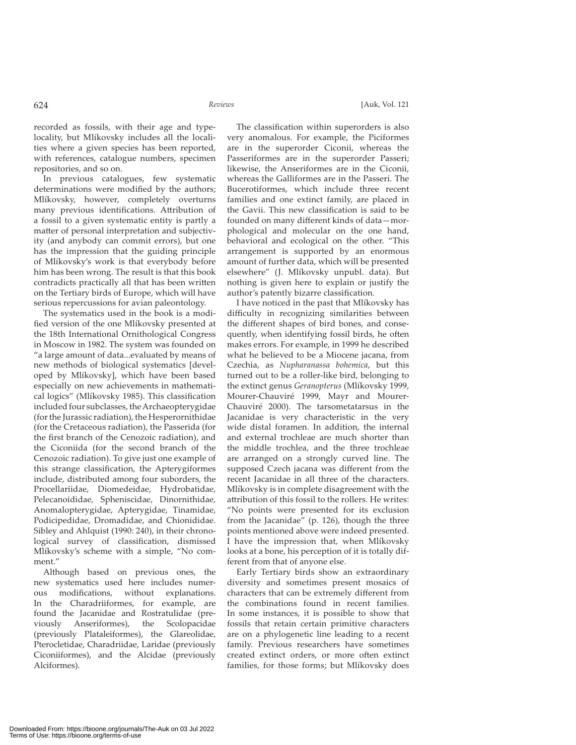recorded as fossils, with their age and typelocality, but Mlíkovsky includes all the localities where a given species has been reported, with references, catalogue numbers, specimen repositories, and so on.

In previous catalogues, few systematic determinations were modified by the authors; Mlíkovsky, however, completely overturns many previous identifications. Attribution of a fossil to a given systematic entity is partly a matter of personal interpretation and subjectivity (and anybody can commit errors), but one has the impression that the guiding principle of Mlíkovsky's work is that everybody before him has been wrong. The result is that this book contradicts practically all that has been written on the Tertiary birds of Europe, which will have serious repercussions for avian paleontology.

The systematics used in the book is a modified version of the one Mlíkovsky presented at the 18th International Ornithological Congress in Moscow in 1982. The system was founded on "a large amount of data...evaluated by means of new methods of biological systematics [developed by Mlíkovsky], which have been based especially on new achievements in mathematical logics" (Mlíkovsky 1985). This classification included four subclasses, the Archaeopterygidae (for the Jurassic radiation), the Hesperornithidae (for the Cretaceous radiation), the Passerida (for the first branch of the Cenozoic radiation), and the Ciconiida (for the second branch of the Cenozoic radiation). To give just one example of this strange classification, the Apterygiformes include, distributed among four suborders, the Procellariidae, Diomedeidae, Hydrobatidae, Pelecanoididae, Spheniscidae, Dinornithidae, Anomalopterygidae, Apterygidae, Tinamidae, Podicipedidae, Dromadidae, and Chionididae. Sibley and Ahlquist (1990: 240), in their chronological survey of classification, dismissed Mlíkovsky's scheme with a simple, "No comment."

Although based on previous ones, the new systematics used here includes numerous modifications, without explanations. In the Charadriiformes, for example, are found the Jacanidae and Rostratulidae (previously Anseriformes), the Scolopacidae (previously Plataleiformes), the Glareolidae, Pterocletidae, Charadriidae, Laridae (previously Ciconiiformes), and the Alcidae (previously Alciformes).

The classification within superorders is also very anomalous. For example, the Piciformes are in the superorder Ciconii, whereas the Passeriformes are in the superorder Passeri; likewise, the Anseriformes are in the Ciconii, whereas the Galliformes are in the Passeri. The Bucerotiformes, which include three recent families and one extinct family, are placed in the Gavii. This new classification is said to be founded on many different kinds of data-morphological and molecular on the one hand, behavioral and ecological on the other. "This arrangement is supported by an enormous amount of further data, which will be presented elsewhere" (J. Mlíkovsky unpubl. data). But nothing is given here to explain or justify the author's patently bizarre classification.

I have noticed in the past that Mlíkovsky has difficulty in recognizing similarities between the different shapes of bird bones, and consequently, when identifying fossil birds, he often makes errors. For example, in 1999 he described what he believed to be a Miocene jacana, from Czechia, as *Nupharanassa bohemica*, but this turned out to be a roller-like bird, belonging to the extinct genus *Geranopterus* (Mlíkovsky 1999, Mourer-Chauviré 1999, Mayr and Mourer-Chauviré 2000). The tarsometatarsus in the Jacanidae is very characteristic in the very wide distal foramen. In addition, the internal and external trochleae are much shorter than the middle trochlea, and the three trochleae are arranged on a strongly curved line. The supposed Czech jacana was different from the recent Jacanidae in all three of the characters. Mlíkovsky is in complete disagreement with the attribution of this fossil to the rollers. He writes: "No points were presented for its exclusion from the Jacanidae" (p. 126), though the three points mentioned above were indeed presented. I have the impression that, when Mlíkovsky looks at a bone, his perception of it is totally different from that of anyone else.

Early Tertiary birds show an extraordinary diversity and sometimes present mosaics of characters that can be extremely different from the combinations found in recent families. In some instances, it is possible to show that fossils that retain certain primitive characters are on a phylogenetic line leading to a recent family. Previous researchers have sometimes created extinct orders, or more often extinct families, for those forms; but Mlíkovsky does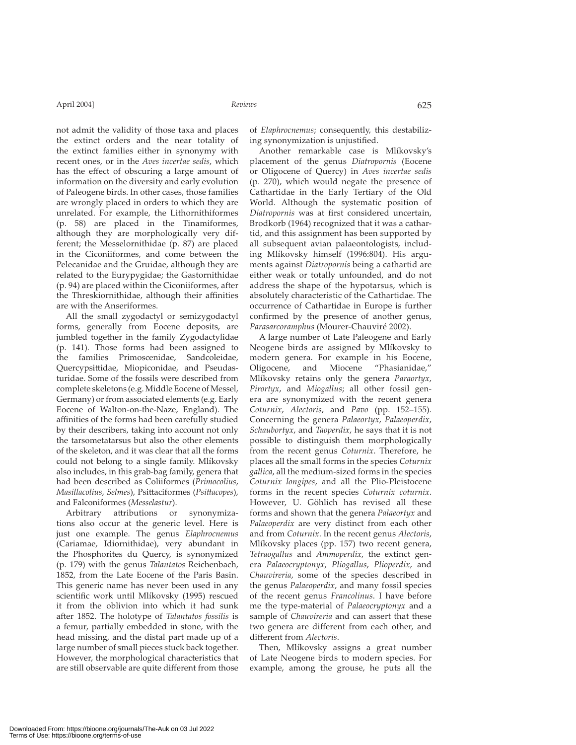not admit the validity of those taxa and places the extinct orders and the near totality of the extinct families either in synonymy with recent ones, or in the *Aves incertae sedis*, which has the effect of obscuring a large amount of information on the diversity and early evolution of Paleogene birds. In other cases, those families are wrongly placed in orders to which they are unrelated. For example, the Lithornithiformes (p. 58) are placed in the Tinamiformes, although they are morphologically very different; the Messelornithidae (p. 87) are placed in the Ciconiiformes, and come between the Pelecanidae and the Gruidae, although they are related to the Eurypygidae; the Gastornithidae  $(p. 94)$  are placed within the Ciconiiformes, after the Threskiornithidae, although their affinities are with the Anseriformes.

All the small zygodactyl or semizygodactyl forms, generally from Eocene deposits, are jumbled together in the family Zygodactylidae (p. 141). Those forms had been assigned to the families Primoscenidae, Sandcoleidae, Quercypsittidae, Miopiconidae, and Pseudasturidae. Some of the fossils were described from complete skeletons (e.g. Middle Eocene of Messel, Germany) or from associated elements (e.g. Early Eocene of Walton-on-the-Naze, England). The affinities of the forms had been carefully studied by their describers, taking into account not only the tarsometatarsus but also the other elements of the skeleton, and it was clear that all the forms could not belong to a single family. Mlíkovsky also includes, in this grab-bag family, genera that had been described as Coliiformes (*Primocolius*,  $M a s$ illacolius, Selmes), Psittaciformes (Psittacopes), and Falconiformes (*Messelastur*).

Arbitrary attributions or synonymizations also occur at the generic level. Here is just one example. The genus *Elaphrocnemus* (Cariamae, Idiornithidae), very abundant in the Phosphorites du Quercy, is synonymized (p. 179) with the genus *Talantatos* Reichenbach, 1852, from the Late Eocene of the Paris Basin. This generic name has never been used in any scientific work until Mlíkovsky (1995) rescued it from the oblivion into which it had sunk after 1852. The holotype of *Talantatos fossilis* is a femur, partially embedded in stone, with the head missing, and the distal part made up of a large number of small pieces stuck back together. However, the morphological characteristics that are still observable are quite different from those

of *Elaphrocnemus*; consequently, this destabilizing synonymization is unjustified.

Another remarkable case is Mlíkovsky's placement of the genus *Diatropornis* (Eocene or Oligocene of Quercy) in *Aves incertae sedis* (p. 270), which would negate the presence of Cathartidae in the Early Tertiary of the Old World. Although the systematic position of *Diatropornis* was at first considered uncertain, Brodkorb (1964) recognized that it was a cathartid, and this assignment has been supported by all subsequent avian palaeontologists, including Mlíkovsky himself (1996:804). His arguments against *Diatropornis* being a cathartid are either weak or totally unfounded, and do not address the shape of the hypotarsus, which is absolutely characteristic of the Cathartidae. The occurrence of Cathartidae in Europe is further confirmed by the presence of another genus, *Parasarcoramphus* (Mourer-Chauviré 2002).

A large number of Late Paleogene and Early Neogene birds are assigned by Mlíkovsky to modern genera. For example in his Eocene, Oligocene, and Miocene "Phasianidae," Mlíkovsky retains only the genera *Paraortyx*, *Pirortyx*, and *Miogallus*; all other fossil genera are synonymized with the recent genera *Coturnix*, *Alectoris*, and *Pavo* (pp. 152–155). Concerning the genera *Palaeortyx*, *Palaeoperdix*, *Schaubortyx*, and *Taoperdix*, he says that it is not possible to distinguish them morphologically from the recent genus *Coturnix*. Therefore, he places all the small forms in the species *Coturnix gallica*, all the medium-sized forms in the species *Coturnix longipes*, and all the Plio-Pleistocene forms in the recent species *Coturnix coturnix*. However, U. Göhlich has revised all these forms and shown that the genera *Palaeortyx* and *Palaeoperdix* are very distinct from each other and from *Coturnix*. In the recent genus *Alectoris*, Mlíkovsky places (pp. 157) two recent genera, *Tetraogallus* and *Ammoperdix*, the extinct genera *Palaeocryptonyx*, *Pliogallus*, *Plioperdix*, and *Chauvireria*, some of the species described in the genus *Palaeoperdix*, and many fossil species of the recent genus *Francolinus*. I have before me the type-material of *Palaeocryptonyx* and a sample of *Chauvireria* and can assert that these two genera are different from each other, and different from *Alectoris*.

Then, Mlíkovsky assigns a great number of Late Neogene birds to modern species. For example, among the grouse, he puts all the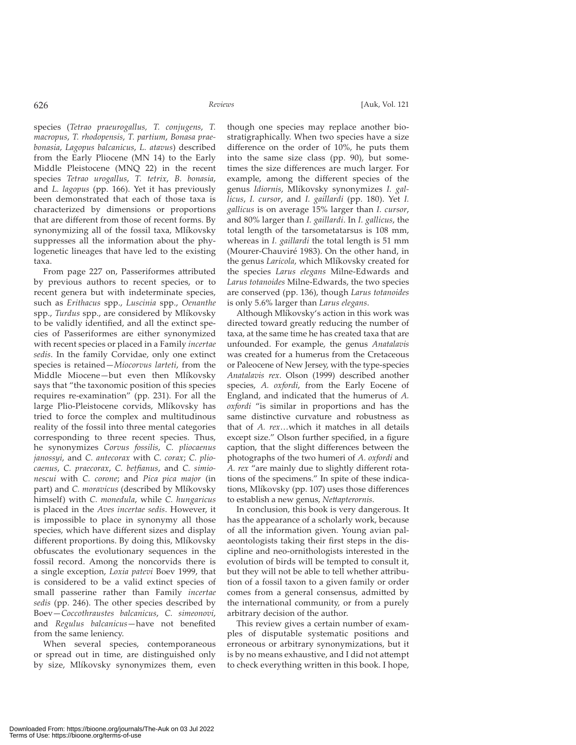species (*Tetrao praeurogallus, T. conjugens*, *T. macropus*, *T. rhodopensis*, *T. partium*, *Bonasa praebonasia*, *Lagopus balcanicus*, *L. atavus*) described from the Early Pliocene (MN 14) to the Early Middle Pleistocene (MNQ 22) in the recent species *Tetrao urogallus*, *T. tetrix*, *B. bonasia*, and *L. lagopus* (pp. 166). Yet it has previously been demonstrated that each of those taxa is characterized by dimensions or proportions that are different from those of recent forms. By synonymizing all of the fossil taxa, Mlíkovsky suppresses all the information about the phylogenetic lineages that have led to the existing taxa.

From page 227 on, Passeriformes attributed by previous authors to recent species, or to recent genera but with indeterminate species, such as *Erithacus* spp., *Luscinia* spp., *Oenanthe* spp., *Turdus* spp., are considered by Mlíkovsky to be validly identified, and all the extinct species of Passeriformes are either synonymized with recent species or placed in a Family *incertae sedis*. In the family Corvidae, only one extinct species is retained—*Miocorvus larteti*, from the Middle Miocene—but even then Mlíkovsky says that "the taxonomic position of this species requires re-examination" (pp. 231). For all the large Plio-Pleistocene corvids, Mlíkovsky has tried to force the complex and multitudinous reality of the fossil into three mental categories corresponding to three recent species. Thus, he synonymizes *Corvus fossilis*, *C. pliocaenus janossyi*, and *C. antecorax* with *C. corax*; *C. plio*caenus, C. praecorax, C. betfianus, and C. simio*nescui* with *C. corone*; and *Pica pica major* (in part) and *C. moravicus* (described by Mlíkovsky himself) with *C. monedula*, while *C. hungaricus* is placed in the *Aves incertae sedis*. However, it is impossible to place in synonymy all those species, which have different sizes and display different proportions. By doing this, Mlíkovsky obfuscates the evolutionary sequences in the fossil record. Among the noncorvids there is a single exception, *Loxia patevi* Boev 1999, that is considered to be a valid extinct species of small passerine rather than Family *incertae sedis* (pp. 246). The other species described by Boev—*Coccothraustes balcanicus*, *C. simeonovi*, and *Regulus balcanicus*—have not benefited from the same leniency.

When several species, contemporaneous or spread out in time, are distinguished only by size, Mlíkovsky synonymizes them, even though one species may replace another biostratigraphically. When two species have a size difference on the order of 10%, he puts them into the same size class (pp. 90), but sometimes the size differences are much larger. For example, among the different species of the genus *Idiornis*, Mlíkovsky synonymizes *I. gallicus*, *I. cursor*, and *I. gaillardi* (pp. 180). Yet *I. gallicus* is on average 15% larger than *I. cursor*, and 80% larger than *I. gaillardi*. In *I. gallicus*, the total length of the tarsometatarsus is 108 mm, whereas in *I. gaillardi* the total length is 51 mm (Mourer-Chauviré 1983). On the other hand, in the genus *Laricola*, which Mlíkovsky created for the species *Larus elegans* Milne-Edwards and *Larus totanoides* Milne-Edwards, the two species are conserved (pp. 136), though *Larus totanoides* is only 5.6% larger than *Larus elegans*.

Although Mlíkovsky's action in this work was directed toward greatly reducing the number of taxa, at the same time he has created taxa that are unfounded. For example, the genus *Anatalavis* was created for a humerus from the Cretaceous or Paleocene of New Jersey, with the type-species *Anatalavis rex*. Olson (1999) described another species, *A. oxfordi*, from the Early Eocene of England, and indicated that the humerus of *A. oxfordi* "is similar in proportions and has the same distinctive curvature and robustness as that of *A. rex*…which it matches in all details except size." Olson further specified, in a figure caption, that the slight differences between the photographs of the two humeri of *A. oxfordi* and A. rex "are mainly due to slightly different rotations of the specimens." In spite of these indications, Mlíkovsky (pp. 107) uses those differences to establish a new genus*, Nettapterornis*.

In conclusion, this book is very dangerous. It has the appearance of a scholarly work, because of all the information given. Young avian palaeontologists taking their first steps in the discipline and neo-ornithologists interested in the evolution of birds will be tempted to consult it, but they will not be able to tell whether attribution of a fossil taxon to a given family or order comes from a general consensus, admitted by the international community, or from a purely arbitrary decision of the author.

This review gives a certain number of examples of disputable systematic positions and erroneous or arbitrary synonymizations, but it is by no means exhaustive, and I did not attempt to check everything written in this book. I hope,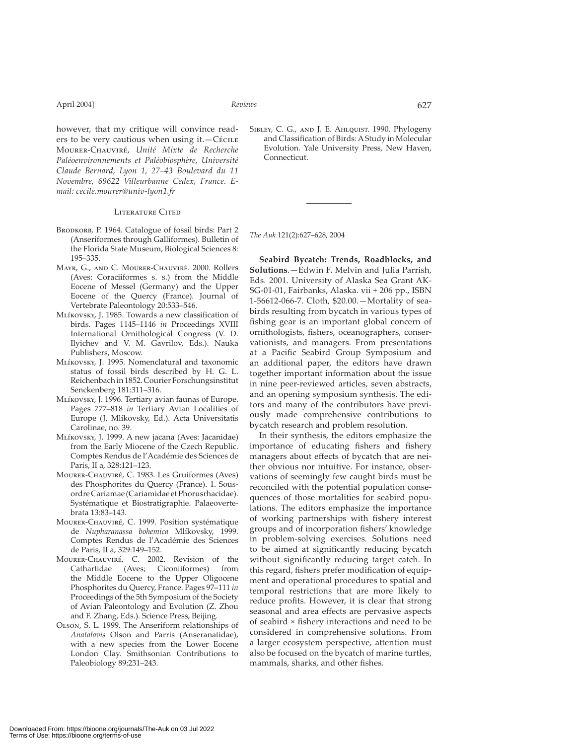however, that my critique will convince readers to be very cautious when using it.—Céc $\epsilon$ u. Mourer-Chauviré*, Unité Mixte de Recherche Paléoenvironnements et Paléobiosphère, Université Claude Bernard, Lyon 1, 27–43 Boulevard du 11 Novembre, 69622 Villeurbanne Cedex, France. Email: cecile.mourer@univ-lyon1.fr*

#### Literature Cited

- BRODKORB, P. 1964. Catalogue of fossil birds: Part 2 (Anseriformes through Galliformes). Bulletin of the Florida State Museum, Biological Sciences 8: 195–335.
- Mayr, G., and C. Mourer-Chauviré. 2000. Rollers (Aves: Coraciiformes s. s.) from the Middle Eocene of Messel (Germany) and the Upper Eocene of the Quercy (France). Journal of Vertebrate Paleontology 20:533–546.
- MLíkovsky, J. 1985. Towards a new classification of birds. Pages 1145–1146 *in* Proceedings XVIII International Ornithological Congress (V. D. Ilyichev and V. M. Gavrilov, Eds.). Nauka Publishers, Moscow.
- M , J. 1995. Nomenclatural and taxonomic status of fossil birds described by H. G. L. Reichenbach in 1852. Courier Forschungsinstitut Senckenberg 181:311–316.
- MLíkovsky, J. 1996. Tertiary avian faunas of Europe. Pages 777–818 *in* Tertiary Avian Localities of Europe (J. Mlíkovsky, Ed.). Acta Universitatis Carolinae, no. 39.
- MLíкovsкy, J. 1999. A new jacana (Aves: Jacanidae) from the Early Miocene of the Czech Republic. Comptes Rendus de l'Académie des Sciences de Paris, II a, 328:121–123.
- Mourer-Chauviré, C. 1983. Les Gruiformes (Aves) des Phosphorites du Quercy (France). 1. Sousordre Cariamae (Cariamidae et Phorusrhacidae). Systématique et Biostratigraphie. Palaeovertebrata 13:83–143.
- Mourer-Chauviré, C. 1999. Position systématique de *Nupharanassa bohemica* Mlíkovsky, 1999. Comptes Rendus de l'Académie des Sciences de Paris, II a, 329:149–152.
- Mourer-Chauviré, C. 2002. Revision of the Cathartidae (Aves; Ciconiiformes) from the Middle Eocene to the Upper Oligocene Phosphorites du Quercy, France. Pages 97–111 *in* Proceedings of the 5th Symposium of the Society of Avian Paleontology and Evolution (Z. Zhou and F. Zhang, Eds.). Science Press, Beijing.
- O , S. L. 1999. The Anseriform relationships of *Anatalavis* Olson and Parris (Anseranatidae), with a new species from the Lower Eocene London Clay. Smithsonian Contributions to Paleobiology 89:231–243.

Sibley, C. G., and J. E. Ahlquist. 1990. Phylogeny and Classification of Birds: A Study in Molecular Evolution. Yale University Press, New Haven, Connecticut.

*The Auk* 121(2):627–628, 2004

**Seabird Bycatch: Trends, Roadblocks, and Solutions**.—Edwin F. Melvin and Julia Parrish, Eds. 2001. University of Alaska Sea Grant AK-SG-01-01, Fairbanks, Alaska. vii + 206 pp., ISBN 1-56612-066-7. Cloth, \$20.00.—Mortality of seabirds resulting from bycatch in various types of fishing gear is an important global concern of ornithologists, fishers, oceanographers, conservationists, and managers. From presentations at a Pacific Seabird Group Symposium and an additional paper, the editors have drawn together important information about the issue in nine peer-reviewed articles, seven abstracts, and an opening symposium synthesis. The editors and many of the contributors have previously made comprehensive contributions to bycatch research and problem resolution.

In their synthesis, the editors emphasize the importance of educating fishers and fishery managers about effects of bycatch that are neither obvious nor intuitive. For instance, observations of seemingly few caught birds must be reconciled with the potential population consequences of those mortalities for seabird populations. The editors emphasize the importance of working partnerships with fishery interest groups and of incorporation fishers' knowledge in problem-solving exercises. Solutions need to be aimed at significantly reducing bycatch without significantly reducing target catch. In this regard, fishers prefer modification of equipment and operational procedures to spatial and temporal restrictions that are more likely to reduce profits. However, it is clear that strong seasonal and area effects are pervasive aspects of seabird × fishery interactions and need to be considered in comprehensive solutions. From a larger ecosystem perspective, attention must also be focused on the bycatch of marine turtles, mammals, sharks, and other fishes.